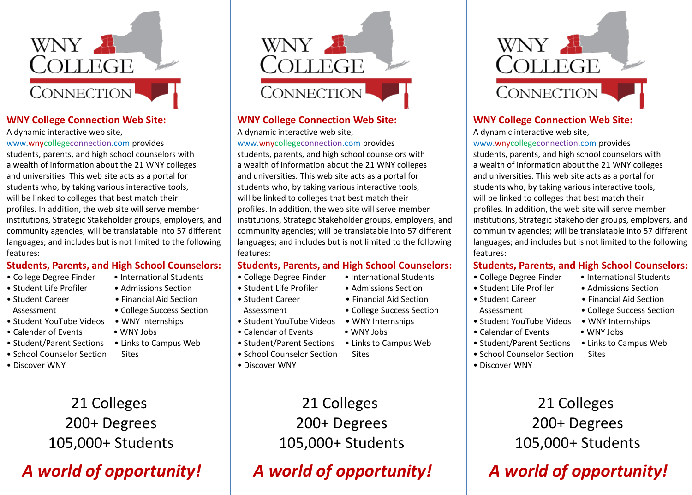

#### **WNY College Connection Web Site:**

A dynamic interactive web site,

www.wnycollegeconnection.com provides students, parents, and high school counselors with a wealth of information about the 21 WNY colleges and universities. This web site acts as a portal for students who, by taking various interactive tools, will be linked to colleges that best match their profiles. In addition, the web site will serve member institutions, Strategic Stakeholder groups, employers, and community agencies; will be translatable into 57 different languages; and includes but is not limited to the following features:

### **Students, Parents, and High School Counselors:**

- College Degree Finder International Students
- Student Life Profiler Admissions Section
- Student Career Financial Aid Section
- Student YouTube Videos WNY Internships
- Calendar of Events WNY Jobs
- 
- School Counselor Section Sites
- Discover WNY

## 21 Colleges 200+ Degrees 105,000+ Students

# *A world of opportunity!*



## **WNY College Connection Web Site:**

A dynamic interactive web site,

www.wnycollegeconnection.com provides

students, parents, and high school counselors with a wealth of information about the 21 WNY colleges and universities. This web site acts as a portal for students who, by taking various interactive tools, will be linked to colleges that best match their profiles. In addition, the web site will serve member institutions, Strategic Stakeholder groups, employers, and community agencies; will be translatable into 57 different languages; and includes but is not limited to the following features:

## **Students, Parents, and High School Counselors:**

- College Degree Finder International Students
- Student Life Profiler Admissions Section
- Student Career Financial Aid Section Assessment • College Success Section
- Student YouTube Videos WNY Internships
- Calendar of Events WNY Jobs
- Student/Parent Sections Links to Campus Web
- School Counselor Section Sites
- Discover WNY

21 Colleges 200+ Degrees 105,000+ Students

## *A world of opportunity!*



## **WNY College Connection Web Site:**

A dynamic interactive web site,

www.wnycollegeconnection.com provides students, parents, and high school counselors with a wealth of information about the 21 WNY colleges and universities. This web site acts as a portal for students who, by taking various interactive tools, will be linked to colleges that best match their profiles. In addition, the web site will serve member institutions, Strategic Stakeholder groups, employers, and community agencies; will be translatable into 57 different languages; and includes but is not limited to the following features:

### **Students, Parents, and High School Counselors:**

- College Degree Finder International Students
- Student Life Profiler Admissions Section
- Student Career Financial Aid Section
	-
- Student YouTube Videos WNY Internships
- Calendar of Events WNY Jobs
- 
- School Counselor Section Sites
- Discover WNY
- 
- 
- 
- Assessment College Success Section
	-
	-
- Student/Parent Sections Links to Campus Web
	-
	- 21 Colleges 200+ Degrees 105,000+ Students

## *A world of opportunity!*

- Assessment College Success Section
	-

- 
- Student/Parent Sections Links to Campus Web